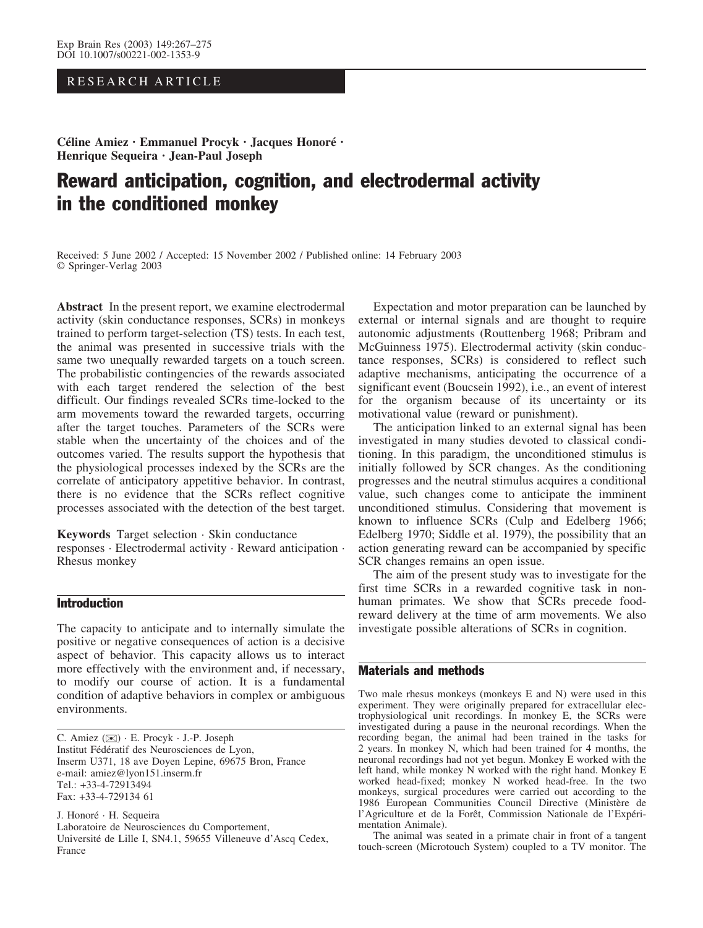# RESEARCH ARTICLE

Céline Amiez · Emmanuel Procyk · Jacques Honoré · Henrique Sequeira · Jean-Paul Joseph

# Reward anticipation, cognition, and electrodermal activity in the conditioned monkey

Received: 5 June 2002 / Accepted: 15 November 2002 / Published online: 14 February 2003 Springer-Verlag 2003

Abstract In the present report, we examine electrodermal activity (skin conductance responses, SCRs) in monkeys trained to perform target-selection (TS) tests. In each test, the animal was presented in successive trials with the same two unequally rewarded targets on a touch screen. The probabilistic contingencies of the rewards associated with each target rendered the selection of the best difficult. Our findings revealed SCRs time-locked to the arm movements toward the rewarded targets, occurring after the target touches. Parameters of the SCRs were stable when the uncertainty of the choices and of the outcomes varied. The results support the hypothesis that the physiological processes indexed by the SCRs are the correlate of anticipatory appetitive behavior. In contrast, there is no evidence that the SCRs reflect cognitive processes associated with the detection of the best target.

Keywords Target selection · Skin conductance responses · Electrodermal activity · Reward anticipation · Rhesus monkey

# Introduction

The capacity to anticipate and to internally simulate the positive or negative consequences of action is a decisive aspect of behavior. This capacity allows us to interact more effectively with the environment and, if necessary, to modify our course of action. It is a fundamental condition of adaptive behaviors in complex or ambiguous environments.

C. Amiez ( $\boxtimes$ ) · E. Procyk · J.-P. Joseph Institut Fédératif des Neurosciences de Lyon, Inserm U371, 18 ave Doyen Lepine, 69675 Bron, France e-mail: amiez@lyon151.inserm.fr Tel.: +33-4-72913494 Fax: +33-4-729134 61

J. Honoré · H. Sequeira Laboratoire de Neurosciences du Comportement, Université de Lille I, SN4.1, 59655 Villeneuve d'Ascq Cedex, France

Expectation and motor preparation can be launched by external or internal signals and are thought to require autonomic adjustments (Routtenberg 1968; Pribram and McGuinness 1975). Electrodermal activity (skin conductance responses, SCRs) is considered to reflect such adaptive mechanisms, anticipating the occurrence of a significant event (Boucsein 1992), i.e., an event of interest for the organism because of its uncertainty or its motivational value (reward or punishment).

The anticipation linked to an external signal has been investigated in many studies devoted to classical conditioning. In this paradigm, the unconditioned stimulus is initially followed by SCR changes. As the conditioning progresses and the neutral stimulus acquires a conditional value, such changes come to anticipate the imminent unconditioned stimulus. Considering that movement is known to influence SCRs (Culp and Edelberg 1966; Edelberg 1970; Siddle et al. 1979), the possibility that an action generating reward can be accompanied by specific SCR changes remains an open issue.

The aim of the present study was to investigate for the first time SCRs in a rewarded cognitive task in nonhuman primates. We show that SCRs precede foodreward delivery at the time of arm movements. We also investigate possible alterations of SCRs in cognition.

### Materials and methods

Two male rhesus monkeys (monkeys E and N) were used in this experiment. They were originally prepared for extracellular electrophysiological unit recordings. In monkey E, the SCRs were investigated during a pause in the neuronal recordings. When the recording began, the animal had been trained in the tasks for 2 years. In monkey N, which had been trained for 4 months, the neuronal recordings had not yet begun. Monkey E worked with the left hand, while monkey N worked with the right hand. Monkey E worked head-fixed; monkey N worked head-free. In the two monkeys, surgical procedures were carried out according to the 1986 European Communities Council Directive (Ministère de l'Agriculture et de la Forêt, Commission Nationale de l'Expérimentation Animale).

The animal was seated in a primate chair in front of a tangent touch-screen (Microtouch System) coupled to a TV monitor. The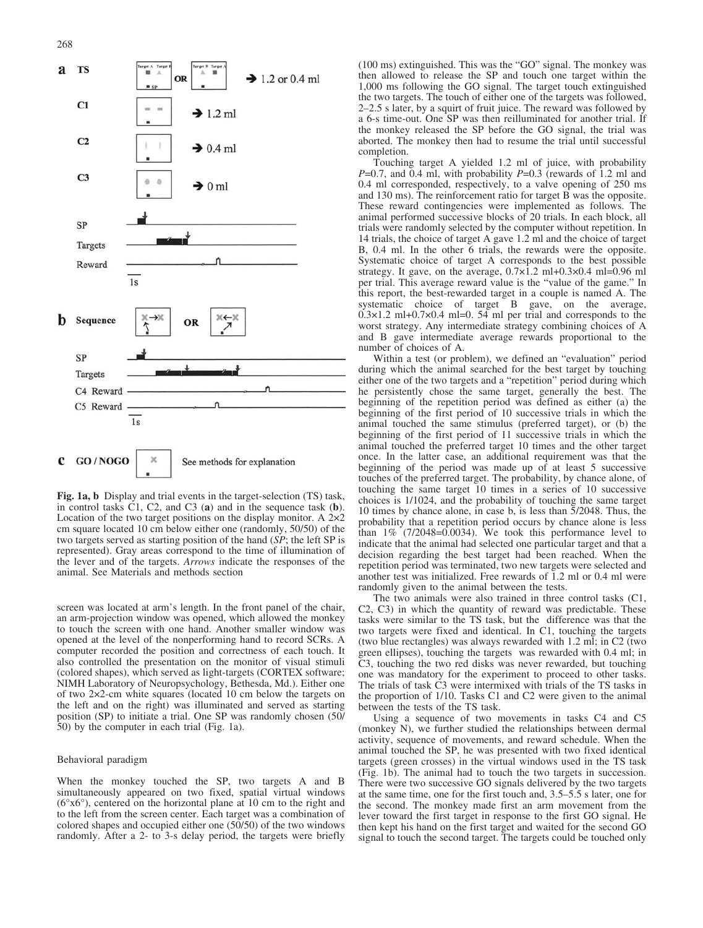268



Fig. 1a, b Display and trial events in the target-selection (TS) task, in control tasks C1, C2, and C3 (a) and in the sequence task (b). Location of the two target positions on the display monitor. A  $2\times 2$ cm square located 10 cm below either one (randomly, 50/50) of the two targets served as starting position of the hand (SP; the left SP is represented). Gray areas correspond to the time of illumination of the lever and of the targets. Arrows indicate the responses of the animal. See Materials and methods section

screen was located at arm's length. In the front panel of the chair, an arm-projection window was opened, which allowed the monkey to touch the screen with one hand. Another smaller window was opened at the level of the nonperforming hand to record SCRs. A computer recorded the position and correctness of each touch. It also controlled the presentation on the monitor of visual stimuli (colored shapes), which served as light-targets (CORTEX software; NIMH Laboratory of Neuropsychology, Bethesda, Md.). Either one of two 22-cm white squares (located 10 cm below the targets on the left and on the right) was illuminated and served as starting position (SP) to initiate a trial. One SP was randomly chosen (50/ 50) by the computer in each trial (Fig. 1a).

#### Behavioral paradigm

When the monkey touched the SP, two targets A and B simultaneously appeared on two fixed, spatial virtual windows  $(6^{\circ}x6^{\circ})$ , centered on the horizontal plane at 10 cm to the right and to the left from the screen center. Each target was a combination of colored shapes and occupied either one (50/50) of the two windows randomly. After a 2- to 3-s delay period, the targets were briefly

(100 ms) extinguished. This was the "GO" signal. The monkey was then allowed to release the SP and touch one target within the 1,000 ms following the GO signal. The target touch extinguished the two targets. The touch of either one of the targets was followed, 2–2.5 s later, by a squirt of fruit juice. The reward was followed by a 6-s time-out. One SP was then reilluminated for another trial. If the monkey released the SP before the GO signal, the trial was aborted. The monkey then had to resume the trial until successful completion.

Touching target A yielded 1.2 ml of juice, with probability  $P=0.7$ , and 0.4 ml, with probability  $P=0.3$  (rewards of 1.2 ml and 0.4 ml corresponded, respectively, to a valve opening of 250 ms and 130 ms). The reinforcement ratio for target B was the opposite. These reward contingencies were implemented as follows. The animal performed successive blocks of 20 trials. In each block, all trials were randomly selected by the computer without repetition. In 14 trials, the choice of target A gave 1.2 ml and the choice of target B, 0.4 ml. In the other 6 trials, the rewards were the opposite. Systematic choice of target A corresponds to the best possible strategy. It gave, on the average,  $0.7 \times 1.2$  ml+0.3 $\times$ 0.4 ml=0.96 ml per trial. This average reward value is the "value of the game." In this report, the best-rewarded target in a couple is named A. The systematic choice of target B gave, on the average,  $0.3\times1.2$  ml+ $0.7\times0.4$  ml=0. 54 ml per trial and corresponds to the worst strategy. Any intermediate strategy combining choices of A and B gave intermediate average rewards proportional to the number of choices of A.

Within a test (or problem), we defined an "evaluation" period during which the animal searched for the best target by touching either one of the two targets and a "repetition" period during which he persistently chose the same target, generally the best. The beginning of the repetition period was defined as either (a) the beginning of the first period of 10 successive trials in which the animal touched the same stimulus (preferred target), or (b) the beginning of the first period of 11 successive trials in which the animal touched the preferred target 10 times and the other target once. In the latter case, an additional requirement was that the beginning of the period was made up of at least 5 successive touches of the preferred target. The probability, by chance alone, of touching the same target 10 times in a series of 10 successive choices is 1/1024, and the probability of touching the same target 10 times by chance alone, in case b, is less than 5/2048. Thus, the probability that a repetition period occurs by chance alone is less than  $1\%$  (7/2048=0.0034). We took this performance level to indicate that the animal had selected one particular target and that a decision regarding the best target had been reached. When the repetition period was terminated, two new targets were selected and another test was initialized. Free rewards of 1.2 ml or 0.4 ml were randomly given to the animal between the tests.

The two animals were also trained in three control tasks (C1, C2, C3) in which the quantity of reward was predictable. These tasks were similar to the TS task, but the difference was that the two targets were fixed and identical. In C1, touching the targets (two blue rectangles) was always rewarded with 1.2 ml; in C2 (two green ellipses), touching the targets was rewarded with 0.4 ml; in C3, touching the two red disks was never rewarded, but touching one was mandatory for the experiment to proceed to other tasks. The trials of task C3 were intermixed with trials of the TS tasks in the proportion of 1/10. Tasks C1 and C2 were given to the animal between the tests of the TS task.

Using a sequence of two movements in tasks C4 and C5 (monkey N), we further studied the relationships between dermal activity, sequence of movements, and reward schedule. When the animal touched the SP, he was presented with two fixed identical targets (green crosses) in the virtual windows used in the TS task (Fig. 1b). The animal had to touch the two targets in succession. There were two successive GO signals delivered by the two targets at the same time, one for the first touch and, 3.5–5.5 s later, one for the second. The monkey made first an arm movement from the lever toward the first target in response to the first GO signal. He then kept his hand on the first target and waited for the second GO signal to touch the second target. The targets could be touched only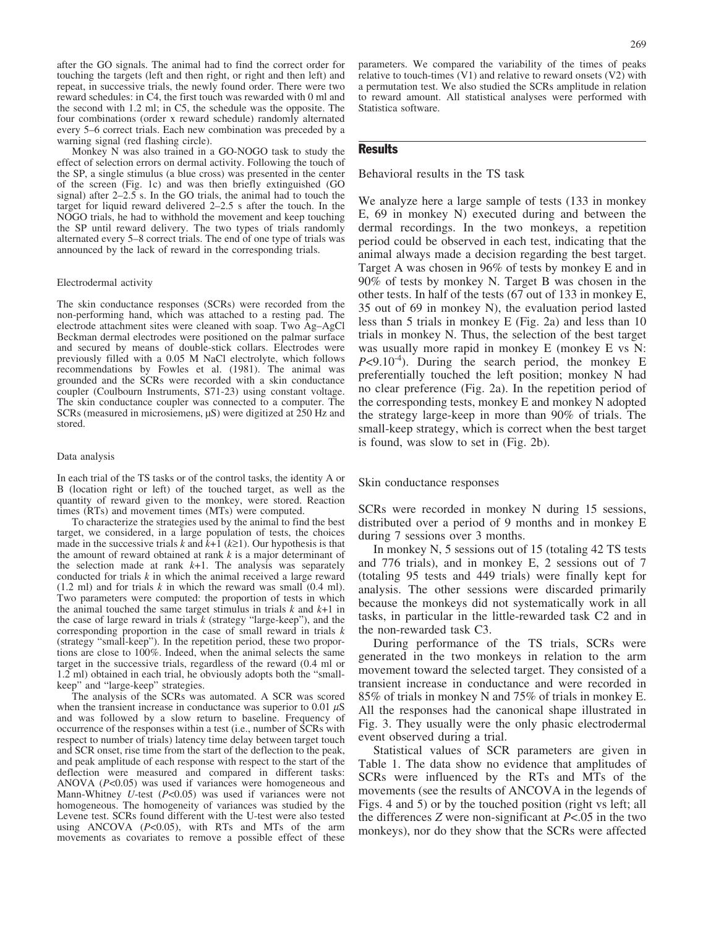after the GO signals. The animal had to find the correct order for touching the targets (left and then right, or right and then left) and repeat, in successive trials, the newly found order. There were two reward schedules: in C4, the first touch was rewarded with 0 ml and the second with 1.2 ml; in C5, the schedule was the opposite. The four combinations (order x reward schedule) randomly alternated every 5–6 correct trials. Each new combination was preceded by a warning signal (red flashing circle).

Monkey N was also trained in a GO-NOGO task to study the effect of selection errors on dermal activity. Following the touch of the SP, a single stimulus (a blue cross) was presented in the center of the screen (Fig. 1c) and was then briefly extinguished (GO signal) after  $2-2.5$  s. In the GO trials, the animal had to touch the target for liquid reward delivered 2–2.5 s after the touch. In the NOGO trials, he had to withhold the movement and keep touching the SP until reward delivery. The two types of trials randomly alternated every 5–8 correct trials. The end of one type of trials was announced by the lack of reward in the corresponding trials.

#### Electrodermal activity

The skin conductance responses (SCRs) were recorded from the non-performing hand, which was attached to a resting pad. The electrode attachment sites were cleaned with soap. Two Ag–AgCl Beckman dermal electrodes were positioned on the palmar surface and secured by means of double-stick collars. Electrodes were previously filled with a 0.05 M NaCl electrolyte, which follows recommendations by Fowles et al. (1981). The animal was grounded and the SCRs were recorded with a skin conductance coupler (Coulbourn Instruments, S71-23) using constant voltage. The skin conductance coupler was connected to a computer. The SCRs (measured in microsiemens,  $\mu$ S) were digitized at 250 Hz and stored.

#### Data analysis

In each trial of the TS tasks or of the control tasks, the identity A or B (location right or left) of the touched target, as well as the quantity of reward given to the monkey, were stored. Reaction times (RTs) and movement times (MTs) were computed.

To characterize the strategies used by the animal to find the best target, we considered, in a large population of tests, the choices made in the successive trials k and  $k+1$  ( $k\geq 1$ ). Our hypothesis is that the amount of reward obtained at rank  $k$  is a major determinant of the selection made at rank  $k+1$ . The analysis was separately conducted for trials  $k$  in which the animal received a large reward  $(1.2 \text{ ml})$  and for trials k in which the reward was small  $(0.4 \text{ ml})$ . Two parameters were computed: the proportion of tests in which the animal touched the same target stimulus in trials  $k$  and  $k+1$  in the case of large reward in trials  $k$  (strategy "large-keep"), and the corresponding proportion in the case of small reward in trials k (strategy "small-keep"). In the repetition period, these two proportions are close to 100%. Indeed, when the animal selects the same target in the successive trials, regardless of the reward (0.4 ml or 1.2 ml) obtained in each trial, he obviously adopts both the "smallkeep" and "large-keep" strategies.

The analysis of the SCRs was automated. A SCR was scored when the transient increase in conductance was superior to 0.01  $\mu$ S and was followed by a slow return to baseline. Frequency of occurrence of the responses within a test (i.e., number of SCRs with respect to number of trials) latency time delay between target touch and SCR onset, rise time from the start of the deflection to the peak, and peak amplitude of each response with respect to the start of the deflection were measured and compared in different tasks: ANOVA  $(P<0.05)$  was used if variances were homogeneous and Mann-Whitney  $U$ -test ( $P<0.05$ ) was used if variances were not homogeneous. The homogeneity of variances was studied by the Levene test. SCRs found different with the U-test were also tested using ANCOVA  $(P<0.05)$ , with RTs and MTs of the arm movements as covariates to remove a possible effect of these

parameters. We compared the variability of the times of peaks relative to touch-times (V1) and relative to reward onsets (V2) with a permutation test. We also studied the SCRs amplitude in relation to reward amount. All statistical analyses were performed with Statistica software.

#### **Results**

Behavioral results in the TS task

We analyze here a large sample of tests (133 in monkey E, 69 in monkey N) executed during and between the dermal recordings. In the two monkeys, a repetition period could be observed in each test, indicating that the animal always made a decision regarding the best target. Target A was chosen in 96% of tests by monkey E and in 90% of tests by monkey N. Target B was chosen in the other tests. In half of the tests (67 out of 133 in monkey E, 35 out of 69 in monkey N), the evaluation period lasted less than 5 trials in monkey E (Fig. 2a) and less than 10 trials in monkey N. Thus, the selection of the best target was usually more rapid in monkey E (monkey E vs N:  $P<9.10^{-4}$ ). During the search period, the monkey E preferentially touched the left position; monkey N had no clear preference (Fig. 2a). In the repetition period of the corresponding tests, monkey E and monkey N adopted the strategy large-keep in more than 90% of trials. The small-keep strategy, which is correct when the best target is found, was slow to set in (Fig. 2b).

#### Skin conductance responses

SCRs were recorded in monkey N during 15 sessions, distributed over a period of 9 months and in monkey E during 7 sessions over 3 months.

In monkey N, 5 sessions out of 15 (totaling 42 TS tests and 776 trials), and in monkey E, 2 sessions out of 7 (totaling 95 tests and 449 trials) were finally kept for analysis. The other sessions were discarded primarily because the monkeys did not systematically work in all tasks, in particular in the little-rewarded task C2 and in the non-rewarded task C3.

During performance of the TS trials, SCRs were generated in the two monkeys in relation to the arm movement toward the selected target. They consisted of a transient increase in conductance and were recorded in 85% of trials in monkey N and 75% of trials in monkey E. All the responses had the canonical shape illustrated in Fig. 3. They usually were the only phasic electrodermal event observed during a trial.

Statistical values of SCR parameters are given in Table 1. The data show no evidence that amplitudes of SCRs were influenced by the RTs and MTs of the movements (see the results of ANCOVA in the legends of Figs. 4 and 5) or by the touched position (right vs left; all the differences  $Z$  were non-significant at  $P < .05$  in the two monkeys), nor do they show that the SCRs were affected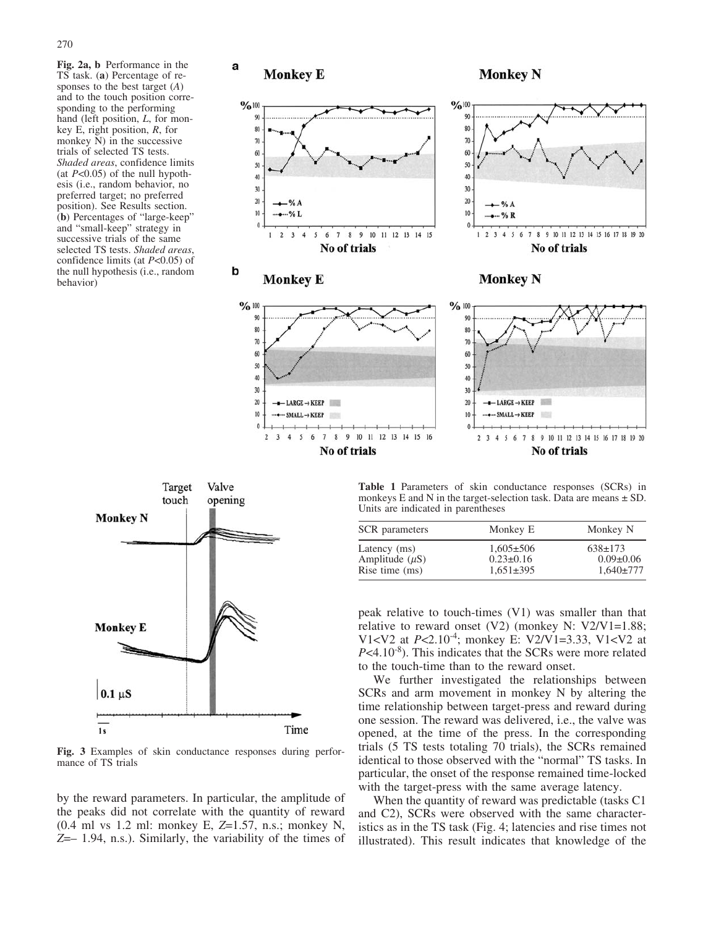Fig. 2a, b Performance in the TS task. (a) Percentage of responses to the best target  $(A)$ and to the touch position corresponding to the performing hand (left position, L, for monkey E, right position, R, for monkey N) in the successive trials of selected TS tests. Shaded areas, confidence limits (at  $P<0.05$ ) of the null hypothesis (i.e., random behavior, no preferred target; no preferred position). See Results section. (b) Percentages of "large-keep" and "small-keep" strategy in successive trials of the same selected TS tests. Shaded areas, confidence limits (at  $P<0.05$ ) of the null hypothesis (i.e., random behavior)



2 3 4 5 6 7 8 9 10 11 12 13 14 15 16

No of trials



Fig. 3 Examples of skin conductance responses during performance of TS trials

by the reward parameters. In particular, the amplitude of the peaks did not correlate with the quantity of reward (0.4 ml vs 1.2 ml: monkey E, Z=1.57, n.s.; monkey N,  $Z=-1.94$ , n.s.). Similarly, the variability of the times of

Table 1 Parameters of skin conductance responses (SCRs) in monkeys E and N in the target-selection task. Data are means  $\pm$  SD. Units are indicated in parentheses

2 3 4 5 6 7 8 9 10 11 12 13 14 15 16 17 18 19 20

No of trials

| SCR parameters      | Monkey E        | Monkey N        |
|---------------------|-----------------|-----------------|
| Latency (ms)        | $1.605 \pm 506$ | $638 \pm 173$   |
| Amplitude $(\mu S)$ | $0.23 \pm 0.16$ | $0.09 \pm 0.06$ |
| Rise time (ms)      | $1,651\pm395$   | $1.640 \pm 777$ |

peak relative to touch-times (V1) was smaller than that relative to reward onset  $(V2)$  (monkey N:  $V2/V1=1.88$ ; V1<V2 at  $P \le 2.10^{-4}$ ; monkey E: V2/V1=3.33, V1<V2 at  $P<4.10^{-8}$ ). This indicates that the SCRs were more related to the touch-time than to the reward onset.

We further investigated the relationships between SCRs and arm movement in monkey N by altering the time relationship between target-press and reward during one session. The reward was delivered, i.e., the valve was opened, at the time of the press. In the corresponding trials (5 TS tests totaling 70 trials), the SCRs remained identical to those observed with the "normal" TS tasks. In particular, the onset of the response remained time-locked with the target-press with the same average latency.

When the quantity of reward was predictable (tasks C1 and C2), SCRs were observed with the same characteristics as in the TS task (Fig. 4; latencies and rise times not illustrated). This result indicates that knowledge of the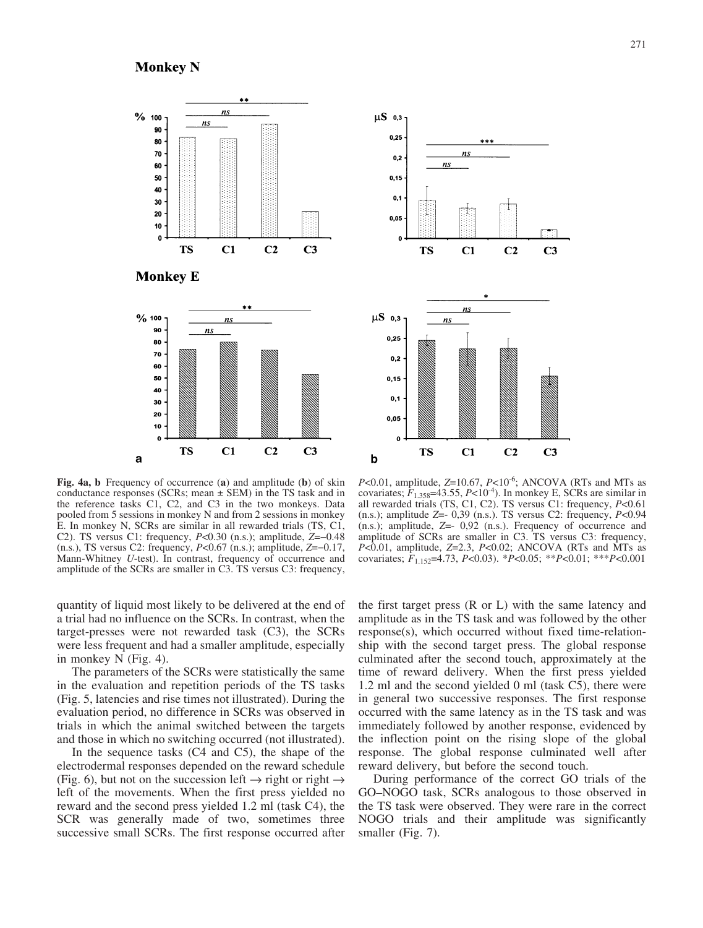**Monkey N** 





Fig. 4a, b Frequency of occurrence (a) and amplitude (b) of skin conductance responses (SCRs; mean  $\pm$  SEM) in the TS task and in the reference tasks C1, C2, and C3 in the two monkeys. Data pooled from 5 sessions in monkey N and from 2 sessions in monkey E. In monkey N, SCRs are similar in all rewarded trials (TS, C1, C2). TS versus C1: frequency,  $P<0.30$  (n.s.); amplitude,  $Z=-0.48$ (n.s.), TS versus C2: frequency,  $P<0.67$  (n.s.); amplitude,  $Z=-0.17$ , Mann-Whitney U-test). In contrast, frequency of occurrence and amplitude of the SCRs are smaller in C3. TS versus C3: frequency,

 $P<0.01$ , amplitude,  $Z=10.67$ ,  $P<10^{-6}$ ; ANCOVA (RTs and MTs as covariates;  $F_{1,358}$ =43.55, P<10<sup>-4</sup>). In monkey E, SCRs are similar in all rewarded trials (TS, C1, C2). TS versus C1: frequency, P<0.61  $(n.s.)$ ; amplitude Z=- 0,39  $(n.s.)$ . TS versus C2: frequency,  $P<0.94$ (n.s.); amplitude, Z=- 0,92 (n.s.). Frequency of occurrence and amplitude of SCRs are smaller in C3. TS versus C3: frequency,  $P<0.01$ , amplitude,  $Z=2.3$ ,  $P<0.02$ ; ANCOVA (RTs and MTs as covariates;  $F_{1.152}$ =4.73, P<0.03). \*P<0.05; \*\*P<0.01; \*\*\*P<0.001

quantity of liquid most likely to be delivered at the end of a trial had no influence on the SCRs. In contrast, when the target-presses were not rewarded task (C3), the SCRs were less frequent and had a smaller amplitude, especially in monkey N (Fig. 4).

The parameters of the SCRs were statistically the same in the evaluation and repetition periods of the TS tasks (Fig. 5, latencies and rise times not illustrated). During the evaluation period, no difference in SCRs was observed in trials in which the animal switched between the targets and those in which no switching occurred (not illustrated).

In the sequence tasks (C4 and C5), the shape of the electrodermal responses depended on the reward schedule (Fig. 6), but not on the succession left  $\rightarrow$  right or right  $\rightarrow$ left of the movements. When the first press yielded no reward and the second press yielded 1.2 ml (task C4), the SCR was generally made of two, sometimes three successive small SCRs. The first response occurred after

the first target press (R or L) with the same latency and amplitude as in the TS task and was followed by the other response(s), which occurred without fixed time-relationship with the second target press. The global response culminated after the second touch, approximately at the time of reward delivery. When the first press yielded 1.2 ml and the second yielded 0 ml (task C5), there were in general two successive responses. The first response occurred with the same latency as in the TS task and was immediately followed by another response, evidenced by the inflection point on the rising slope of the global response. The global response culminated well after reward delivery, but before the second touch.

During performance of the correct GO trials of the GO–NOGO task, SCRs analogous to those observed in the TS task were observed. They were rare in the correct NOGO trials and their amplitude was significantly smaller (Fig. 7).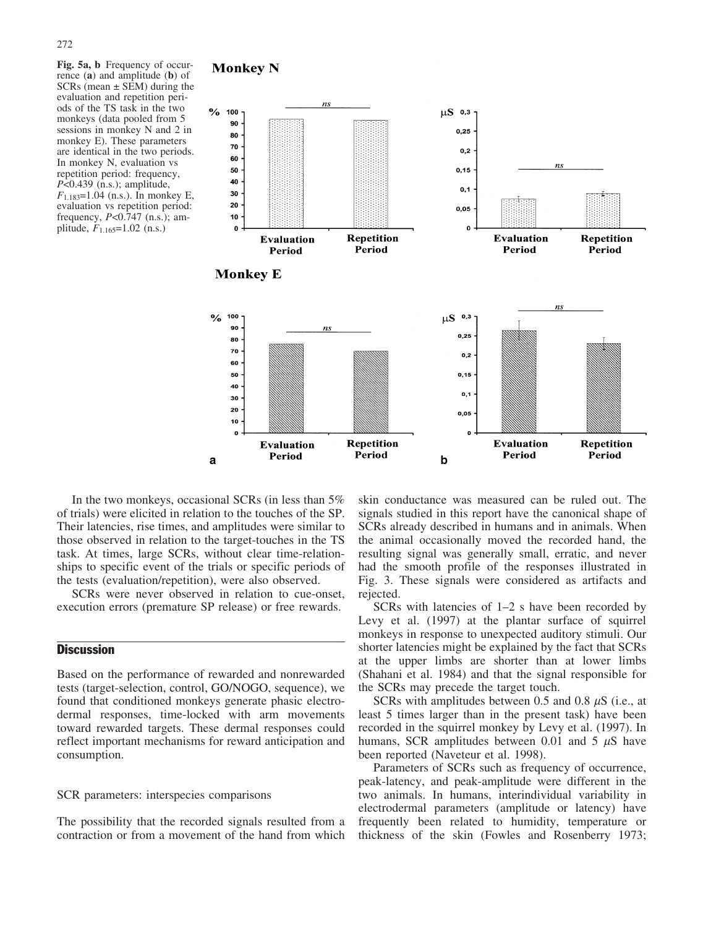Fig. 5a, b Frequency of occurrence (a) and amplitude (b) of SCRs (mean  $\pm$  SEM) during the evaluation and repetition periods of the TS task in the two monkeys (data pooled from 5 sessions in monkey N and 2 in monkey E). These parameters are identical in the two periods. In monkey N, evaluation vs repetition period: frequency,  $P<0.439$  (n.s.); amplitude,  $F_{1.183}=1.04$  (n.s.). In monkey E, evaluation vs repetition period: frequency,  $P<0.747$  (n.s.); amplitude,  $F_{1.165}$ =1.02 (n.s.)

## **Monkey N**



In the two monkeys, occasional SCRs (in less than 5% of trials) were elicited in relation to the touches of the SP. Their latencies, rise times, and amplitudes were similar to those observed in relation to the target-touches in the TS task. At times, large SCRs, without clear time-relationships to specific event of the trials or specific periods of the tests (evaluation/repetition), were also observed.

SCRs were never observed in relation to cue-onset, execution errors (premature SP release) or free rewards.

# **Discussion**

Based on the performance of rewarded and nonrewarded tests (target-selection, control, GO/NOGO, sequence), we found that conditioned monkeys generate phasic electrodermal responses, time-locked with arm movements toward rewarded targets. These dermal responses could reflect important mechanisms for reward anticipation and consumption.

## SCR parameters: interspecies comparisons

The possibility that the recorded signals resulted from a contraction or from a movement of the hand from which skin conductance was measured can be ruled out. The signals studied in this report have the canonical shape of SCRs already described in humans and in animals. When the animal occasionally moved the recorded hand, the resulting signal was generally small, erratic, and never had the smooth profile of the responses illustrated in Fig. 3. These signals were considered as artifacts and rejected.

SCRs with latencies of 1–2 s have been recorded by Levy et al. (1997) at the plantar surface of squirrel monkeys in response to unexpected auditory stimuli. Our shorter latencies might be explained by the fact that SCRs at the upper limbs are shorter than at lower limbs (Shahani et al. 1984) and that the signal responsible for the SCRs may precede the target touch.

SCRs with amplitudes between 0.5 and 0.8  $\mu$ S (i.e., at least 5 times larger than in the present task) have been recorded in the squirrel monkey by Levy et al. (1997). In humans, SCR amplitudes between 0.01 and 5  $\mu$ S have been reported (Naveteur et al. 1998).

Parameters of SCRs such as frequency of occurrence, peak-latency, and peak-amplitude were different in the two animals. In humans, interindividual variability in electrodermal parameters (amplitude or latency) have frequently been related to humidity, temperature or thickness of the skin (Fowles and Rosenberry 1973;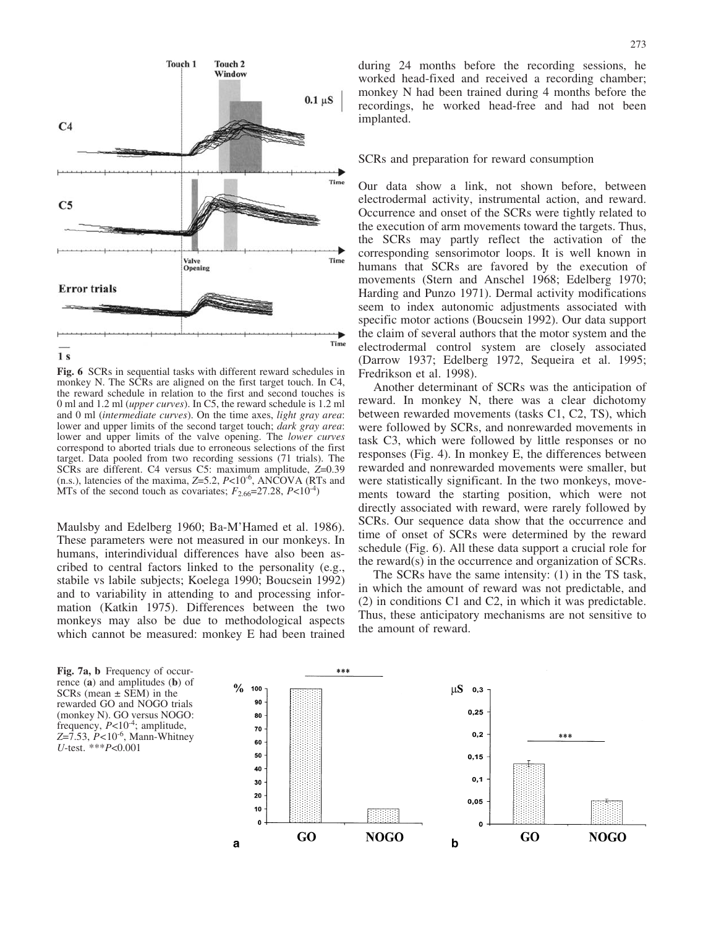

Fig. 6 SCRs in sequential tasks with different reward schedules in monkey N. The SCRs are aligned on the first target touch. In C4, the reward schedule in relation to the first and second touches is 0 ml and 1.2 ml (upper curves). In C5, the reward schedule is 1.2 ml and 0 ml (intermediate curves). On the time axes, light gray area: lower and upper limits of the second target touch; *dark gray area*: lower and upper limits of the valve opening. The lower curves correspond to aborted trials due to erroneous selections of the first target. Data pooled from two recording sessions (71 trials). The SCRs are different. C4 versus C5: maximum amplitude, Z=0.39 (n.s.), latencies of the maxima,  $Z=5.2$ ,  $P<10^{-6}$ , ANCOVA (RTs and MTs of the second touch as covariates;  $F_{2.66}$ =27.28,  $P<10^{-4}$ )

Maulsby and Edelberg 1960; Ba-M'Hamed et al. 1986). These parameters were not measured in our monkeys. In humans, interindividual differences have also been ascribed to central factors linked to the personality (e.g., stabile vs labile subjects; Koelega 1990; Boucsein 1992) and to variability in attending to and processing information (Katkin 1975). Differences between the two monkeys may also be due to methodological aspects which cannot be measured: monkey E had been trained during 24 months before the recording sessions, he worked head-fixed and received a recording chamber; monkey N had been trained during 4 months before the recordings, he worked head-free and had not been implanted.

## SCRs and preparation for reward consumption

Our data show a link, not shown before, between electrodermal activity, instrumental action, and reward. Occurrence and onset of the SCRs were tightly related to the execution of arm movements toward the targets. Thus, the SCRs may partly reflect the activation of the corresponding sensorimotor loops. It is well known in humans that SCRs are favored by the execution of movements (Stern and Anschel 1968; Edelberg 1970; Harding and Punzo 1971). Dermal activity modifications seem to index autonomic adjustments associated with specific motor actions (Boucsein 1992). Our data support the claim of several authors that the motor system and the electrodermal control system are closely associated (Darrow 1937; Edelberg 1972, Sequeira et al. 1995; Fredrikson et al. 1998).

Another determinant of SCRs was the anticipation of reward. In monkey N, there was a clear dichotomy between rewarded movements (tasks C1, C2, TS), which were followed by SCRs, and nonrewarded movements in task C3, which were followed by little responses or no responses (Fig. 4). In monkey E, the differences between rewarded and nonrewarded movements were smaller, but were statistically significant. In the two monkeys, movements toward the starting position, which were not directly associated with reward, were rarely followed by SCRs. Our sequence data show that the occurrence and time of onset of SCRs were determined by the reward schedule (Fig. 6). All these data support a crucial role for the reward(s) in the occurrence and organization of SCRs.

The SCRs have the same intensity: (1) in the TS task, in which the amount of reward was not predictable, and (2) in conditions C1 and C2, in which it was predictable. Thus, these anticipatory mechanisms are not sensitive to the amount of reward.

Fig. 7a, b Frequency of occurrence (a) and amplitudes (b) of SCRs (mean  $\pm$  SEM) in the rewarded GO and NOGO trials (monkey N). GO versus NOGO: frequency,  $P<10^{-4}$ ; amplitude,  $Z=7.53$ ,  $P<10^{-6}$ , Mann-Whitney U-test. \*\*\*P<0.001

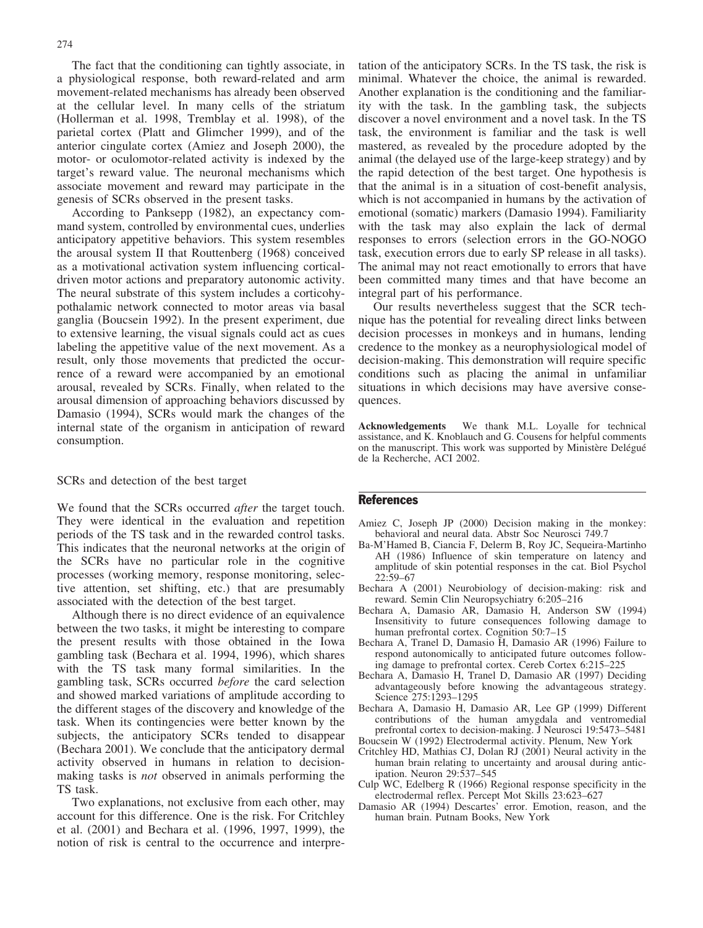The fact that the conditioning can tightly associate, in a physiological response, both reward-related and arm movement-related mechanisms has already been observed at the cellular level. In many cells of the striatum (Hollerman et al. 1998, Tremblay et al. 1998), of the parietal cortex (Platt and Glimcher 1999), and of the anterior cingulate cortex (Amiez and Joseph 2000), the motor- or oculomotor-related activity is indexed by the target's reward value. The neuronal mechanisms which associate movement and reward may participate in the genesis of SCRs observed in the present tasks.

According to Panksepp (1982), an expectancy command system, controlled by environmental cues, underlies anticipatory appetitive behaviors. This system resembles the arousal system II that Routtenberg (1968) conceived as a motivational activation system influencing corticaldriven motor actions and preparatory autonomic activity. The neural substrate of this system includes a corticohypothalamic network connected to motor areas via basal ganglia (Boucsein 1992). In the present experiment, due to extensive learning, the visual signals could act as cues labeling the appetitive value of the next movement. As a result, only those movements that predicted the occurrence of a reward were accompanied by an emotional arousal, revealed by SCRs. Finally, when related to the arousal dimension of approaching behaviors discussed by Damasio (1994), SCRs would mark the changes of the internal state of the organism in anticipation of reward consumption.

#### SCRs and detection of the best target

We found that the SCRs occurred after the target touch. They were identical in the evaluation and repetition periods of the TS task and in the rewarded control tasks. This indicates that the neuronal networks at the origin of the SCRs have no particular role in the cognitive processes (working memory, response monitoring, selective attention, set shifting, etc.) that are presumably associated with the detection of the best target.

Although there is no direct evidence of an equivalence between the two tasks, it might be interesting to compare the present results with those obtained in the Iowa gambling task (Bechara et al. 1994, 1996), which shares with the TS task many formal similarities. In the gambling task, SCRs occurred before the card selection and showed marked variations of amplitude according to the different stages of the discovery and knowledge of the task. When its contingencies were better known by the subjects, the anticipatory SCRs tended to disappear (Bechara 2001). We conclude that the anticipatory dermal activity observed in humans in relation to decisionmaking tasks is not observed in animals performing the TS task.

Two explanations, not exclusive from each other, may account for this difference. One is the risk. For Critchley et al. (2001) and Bechara et al. (1996, 1997, 1999), the notion of risk is central to the occurrence and interpretation of the anticipatory SCRs. In the TS task, the risk is minimal. Whatever the choice, the animal is rewarded. Another explanation is the conditioning and the familiarity with the task. In the gambling task, the subjects discover a novel environment and a novel task. In the TS task, the environment is familiar and the task is well mastered, as revealed by the procedure adopted by the animal (the delayed use of the large-keep strategy) and by the rapid detection of the best target. One hypothesis is that the animal is in a situation of cost-benefit analysis, which is not accompanied in humans by the activation of emotional (somatic) markers (Damasio 1994). Familiarity with the task may also explain the lack of dermal responses to errors (selection errors in the GO-NOGO task, execution errors due to early SP release in all tasks). The animal may not react emotionally to errors that have been committed many times and that have become an integral part of his performance.

Our results nevertheless suggest that the SCR technique has the potential for revealing direct links between decision processes in monkeys and in humans, lending credence to the monkey as a neurophysiological model of decision-making. This demonstration will require specific conditions such as placing the animal in unfamiliar situations in which decisions may have aversive consequences.

Acknowledgements We thank M.L. Loyalle for technical assistance, and K. Knoblauch and G. Cousens for helpful comments on the manuscript. This work was supported by Ministère Delégué de la Recherche, ACI 2002.

#### References

- Amiez C, Joseph JP (2000) Decision making in the monkey: behavioral and neural data. Abstr Soc Neurosci 749.7
- Ba-M'Hamed B, Ciancia F, Delerm B, Roy JC, Sequeira-Martinho AH (1986) Influence of skin temperature on latency and amplitude of skin potential responses in the cat. Biol Psychol 22:59–67
- Bechara A (2001) Neurobiology of decision-making: risk and reward. Semin Clin Neuropsychiatry 6:205–216
- Bechara A, Damasio AR, Damasio H, Anderson SW (1994) Insensitivity to future consequences following damage to human prefrontal cortex. Cognition 50:7–15
- Bechara A, Tranel D, Damasio H, Damasio AR (1996) Failure to respond autonomically to anticipated future outcomes following damage to prefrontal cortex. Cereb Cortex 6:215–225
- Bechara A, Damasio H, Tranel D, Damasio AR (1997) Deciding advantageously before knowing the advantageous strategy. Science 275:1293–1295
- Bechara A, Damasio H, Damasio AR, Lee GP (1999) Different contributions of the human amygdala and ventromedial prefrontal cortex to decision-making. J Neurosci 19:5473–5481 Boucsein W (1992) Electrodermal activity. Plenum, New York
- 
- Critchley HD, Mathias CJ, Dolan RJ (2001) Neural activity in the human brain relating to uncertainty and arousal during anticipation. Neuron 29:537–545
- Culp WC, Edelberg R (1966) Regional response specificity in the electrodermal reflex. Percept Mot Skills 23:623–627
- Damasio AR (1994) Descartes' error. Emotion, reason, and the human brain. Putnam Books, New York